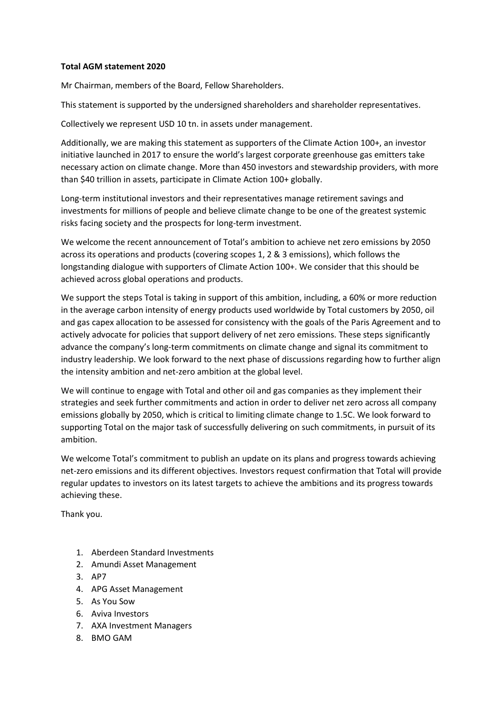## **Total AGM statement 2020**

Mr Chairman, members of the Board, Fellow Shareholders.

This statement is supported by the undersigned shareholders and shareholder representatives.

Collectively we represent USD 10 tn. in assets under management.

Additionally, we are making this statement as supporters of the Climate Action 100+, an investor initiative launched in 2017 to ensure the world's largest corporate greenhouse gas emitters take necessary action on climate change. More than 450 investors and stewardship providers, with more than \$40 trillion in assets, participate in Climate Action 100+ globally.

Long-term institutional investors and their representatives manage retirement savings and investments for millions of people and believe climate change to be one of the greatest systemic risks facing society and the prospects for long-term investment.

We welcome the recent announcement of Total's ambition to achieve net zero emissions by 2050 across its operations and products (covering scopes 1, 2 & 3 emissions), which follows the longstanding dialogue with supporters of Climate Action 100+. We consider that this should be achieved across global operations and products.

We support the steps Total is taking in support of this ambition, including, a 60% or more reduction in the average carbon intensity of energy products used worldwide by Total customers by 2050, oil and gas capex allocation to be assessed for consistency with the goals of the Paris Agreement and to actively advocate for policies that support delivery of net zero emissions. These steps significantly advance the company's long-term commitments on climate change and signal its commitment to industry leadership. We look forward to the next phase of discussions regarding how to further align the intensity ambition and net-zero ambition at the global level.

We will continue to engage with Total and other oil and gas companies as they implement their strategies and seek further commitments and action in order to deliver net zero across all company emissions globally by 2050, which is critical to limiting climate change to 1.5C. We look forward to supporting Total on the major task of successfully delivering on such commitments, in pursuit of its ambition.

We welcome Total's commitment to publish an update on its plans and progress towards achieving net-zero emissions and its different objectives. Investors request confirmation that Total will provide regular updates to investors on its latest targets to achieve the ambitions and its progress towards achieving these.

Thank you.

- 1. Aberdeen Standard Investments
- 2. Amundi Asset Management
- 3. AP7
- 4. APG Asset Management
- 5. As You Sow
- 6. Aviva Investors
- 7. AXA Investment Managers
- 8. BMO GAM